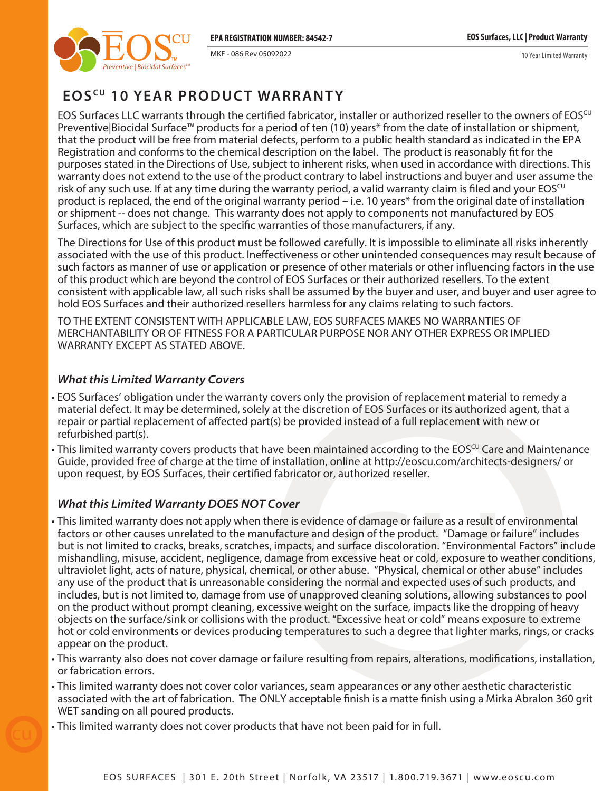MKF - 086 Rev 05092022



10 Year Limited Warranty

# **EOS CU 10 YEAR PRODUCT WARRANTY**

EOS Surfaces LLC warrants through the certified fabricator, installer or authorized reseller to the owners of EOSCU Preventive|Biocidal Surface™ products for a period of ten (10) years\* from the date of installation or shipment, that the product will be free from material defects, perform to a public health standard as indicated in the EPA Registration and conforms to the chemical description on the label. The product is reasonably fit for the purposes stated in the Directions of Use, subject to inherent risks, when used in accordance with directions. This warranty does not extend to the use of the product contrary to label instructions and buyer and user assume the risk of any such use. If at any time during the warranty period, a valid warranty claim is filed and your EOSCU product is replaced, the end of the original warranty period – i.e. 10 years\* from the original date of installation or shipment -- does not change. This warranty does not apply to components not manufactured by EOS Surfaces, which are subject to the specific warranties of those manufacturers, if any.

The Directions for Use of this product must be followed carefully. It is impossible to eliminate all risks inherently associated with the use of this product. Ineffectiveness or other unintended consequences may result because of such factors as manner of use or application or presence of other materials or other influencing factors in the use of this product which are beyond the control of EOS Surfaces or their authorized resellers. To the extent consistent with applicable law, all such risks shall be assumed by the buyer and user, and buyer and user agree to hold EOS Surfaces and their authorized resellers harmless for any claims relating to such factors.

TO THE EXTENT CONSISTENT WITH APPLICABLE LAW, EOS SURFACES MAKES NO WARRANTIES OF MERCHANTABILITY OR OF FITNESS FOR A PARTICULAR PURPOSE NOR ANY OTHER EXPRESS OR IMPLIED WARRANTY EXCEPT AS STATED ABOVE.

# *What this Limited Warranty Covers*

- EOS Surfaces' obligation under the warranty covers only the provision of replacement material to remedy a material defect. It may be determined, solely at the discretion of EOS Surfaces or its authorized agent, that a repair or partial replacement of affected part(s) be provided instead of a full replacement with new or refurbished part(s).
- This limited warranty covers products that have been maintained according to the EOS<sup>CU</sup> Care and Maintenance Guide, provided free of charge at the time of installation, online at http://eoscu.com/architects-designers/ or upon request, by EOS Surfaces, their certified fabricator or, authorized reseller.

# *What this Limited Warranty DOES NOT Cover*

- mline at http://eoscu.com/architects<br>authorized reseller.<br>ce of damage or failure as a result of<br>design of the product. "Damage or fa<br>surface discoloration. "Environment<br>excessive heat or cold, exposure to w<br>abuse. "Physic • This limited warranty does not apply when there is evidence of damage or failure as a result of environmental factors or other causes unrelated to the manufacture and design of the product. "Damage or failure" includes but is not limited to cracks, breaks, scratches, impacts, and surface discoloration. "Environmental Factors" include mishandling, misuse, accident, negligence, damage from excessive heat or cold, exposure to weather conditions, ultraviolet light, acts of nature, physical, chemical, or other abuse. "Physical, chemical or other abuse" includes any use of the product that is unreasonable considering the normal and expected uses of such products, and includes, but is not limited to, damage from use of unapproved cleaning solutions, allowing substances to pool on the product without prompt cleaning, excessive weight on the surface, impacts like the dropping of heavy objects on the surface/sink or collisions with the product. "Excessive heat or cold" means exposure to extreme hot or cold environments or devices producing temperatures to such a degree that lighter marks, rings, or cracks appear on the product.
- This warranty also does not cover damage or failure resulting from repairs, alterations, modifications, installation, or fabrication errors.
- This limited warranty does not cover color variances, seam appearances or any other aesthetic characteristic associated with the art of fabrication. The ONLY acceptable finish is a matte finish using a Mirka Abralon 360 grit WET sanding on all poured products.
- This limited warranty does not cover products that have not been paid for in full.